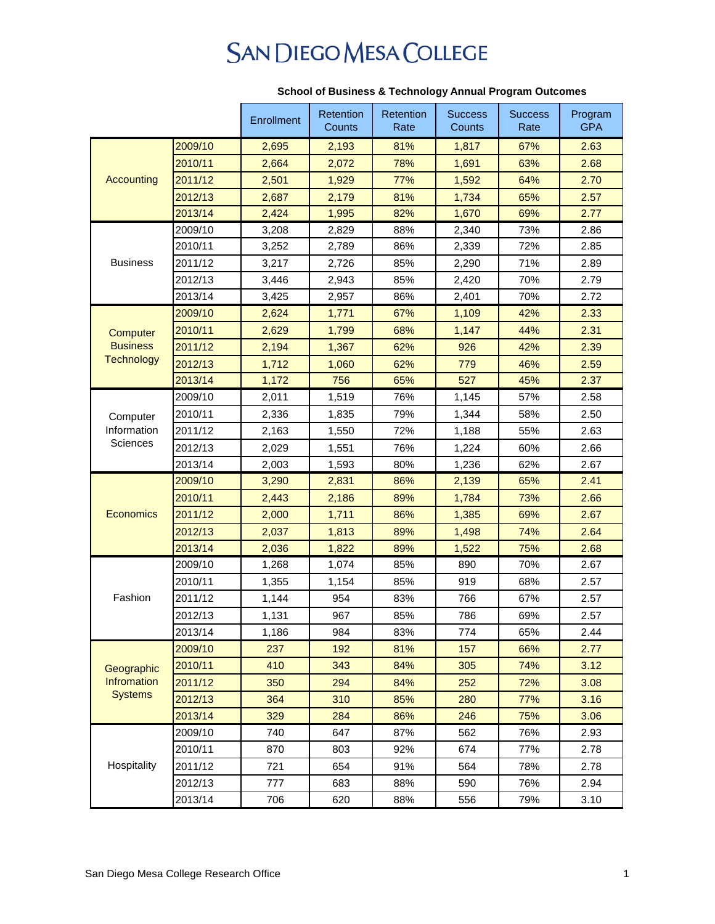## **SAN DIEGO MESA COLLEGE**

|                                             |         | Enrollment | <b>Retention</b><br>Counts | Retention<br>Rate | <b>Success</b><br>Counts | <b>Success</b><br>Rate | Program<br><b>GPA</b> |
|---------------------------------------------|---------|------------|----------------------------|-------------------|--------------------------|------------------------|-----------------------|
| Accounting                                  | 2009/10 | 2,695      | 2,193                      | 81%               | 1,817                    | 67%                    | 2.63                  |
|                                             | 2010/11 | 2,664      | 2,072                      | 78%               | 1,691                    | 63%                    | 2.68                  |
|                                             | 2011/12 | 2,501      | 1,929                      | 77%               | 1,592                    | 64%                    | 2.70                  |
|                                             | 2012/13 | 2,687      | 2,179                      | 81%               | 1,734                    | 65%                    | 2.57                  |
|                                             | 2013/14 | 2,424      | 1,995                      | 82%               | 1,670                    | 69%                    | 2.77                  |
| <b>Business</b>                             | 2009/10 | 3,208      | 2,829                      | 88%               | 2,340                    | 73%                    | 2.86                  |
|                                             | 2010/11 | 3,252      | 2,789                      | 86%               | 2,339                    | 72%                    | 2.85                  |
|                                             | 2011/12 | 3,217      | 2,726                      | 85%               | 2,290                    | 71%                    | 2.89                  |
|                                             | 2012/13 | 3,446      | 2,943                      | 85%               | 2,420                    | 70%                    | 2.79                  |
|                                             | 2013/14 | 3,425      | 2,957                      | 86%               | 2,401                    | 70%                    | 2.72                  |
|                                             | 2009/10 | 2,624      | 1,771                      | 67%               | 1,109                    | 42%                    | 2.33                  |
| Computer                                    | 2010/11 | 2,629      | 1,799                      | 68%               | 1,147                    | 44%                    | 2.31                  |
| <b>Business</b>                             | 2011/12 | 2,194      | 1,367                      | 62%               | 926                      | 42%                    | 2.39                  |
| <b>Technology</b>                           | 2012/13 | 1,712      | 1,060                      | 62%               | 779                      | 46%                    | 2.59                  |
|                                             | 2013/14 | 1,172      | 756                        | 65%               | 527                      | 45%                    | 2.37                  |
|                                             | 2009/10 | 2,011      | 1,519                      | 76%               | 1,145                    | 57%                    | 2.58                  |
| Computer                                    | 2010/11 | 2,336      | 1,835                      | 79%               | 1,344                    | 58%                    | 2.50                  |
| Information<br><b>Sciences</b>              | 2011/12 | 2,163      | 1,550                      | 72%               | 1,188                    | 55%                    | 2.63                  |
|                                             | 2012/13 | 2,029      | 1,551                      | 76%               | 1,224                    | 60%                    | 2.66                  |
|                                             | 2013/14 | 2,003      | 1,593                      | 80%               | 1,236                    | 62%                    | 2.67                  |
|                                             | 2009/10 | 3,290      | 2,831                      | 86%               | 2,139                    | 65%                    | 2.41                  |
|                                             | 2010/11 | 2,443      | 2,186                      | 89%               | 1,784                    | 73%                    | 2.66                  |
| <b>Economics</b>                            | 2011/12 | 2,000      | 1,711                      | 86%               | 1,385                    | 69%                    | 2.67                  |
|                                             | 2012/13 | 2,037      | 1,813                      | 89%               | 1,498                    | 74%                    | 2.64                  |
|                                             | 2013/14 | 2,036      | 1,822                      | 89%               | 1,522                    | 75%                    | 2.68                  |
| Fashion                                     | 2009/10 | 1,268      | 1,074                      | 85%               | 890                      | 70%                    | 2.67                  |
|                                             | 2010/11 | 1,355      | 1,154                      | 85%               | 919                      | 68%                    | 2.57                  |
|                                             | 2011/12 | 1,144      | 954                        | 83%               | 766                      | 67%                    | 2.57                  |
|                                             | 2012/13 | 1,131      | 967                        | 85%               | 786                      | 69%                    | 2.57                  |
|                                             | 2013/14 | 1,186      | 984                        | 83%               | 774                      | 65%                    | 2.44                  |
| Geographic<br>Infromation<br><b>Systems</b> | 2009/10 | 237        | 192                        | 81%               | 157                      | 66%                    | 2.77                  |
|                                             | 2010/11 | 410        | 343                        | 84%               | 305                      | 74%                    | 3.12                  |
|                                             | 2011/12 | 350        | 294                        | 84%               | 252                      | 72%                    | 3.08                  |
|                                             | 2012/13 | 364        | 310                        | 85%               | 280                      | 77%                    | 3.16                  |
|                                             | 2013/14 | 329        | 284                        | 86%               | 246                      | 75%                    | 3.06                  |
| Hospitality                                 | 2009/10 | 740        | 647                        | 87%               | 562                      | 76%                    | 2.93                  |
|                                             | 2010/11 | 870        | 803                        | 92%               | 674                      | 77%                    | 2.78                  |
|                                             | 2011/12 | 721        | 654                        | 91%               | 564                      | 78%                    | 2.78                  |
|                                             | 2012/13 | 777        | 683                        | 88%               | 590                      | 76%                    | 2.94                  |
|                                             | 2013/14 | 706        | 620                        | 88%               | 556                      | 79%                    | 3.10                  |

## **School of Business & Technology Annual Program Outcomes**